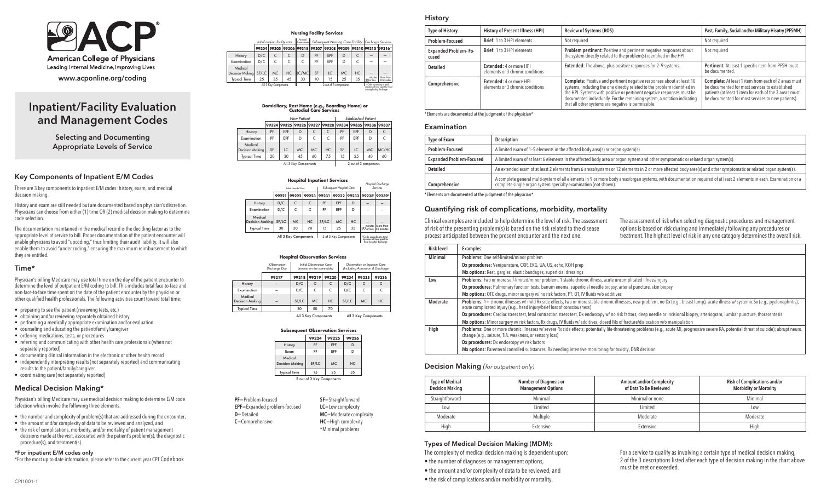

# Inpatient/Facility Evaluation and Management Codes

Selecting and Documenting Appropriate Levels of Service

### Key Components of Inpatient E/M Codes

There are 3 key components to inpatient E/M codes: history, exam, and medical decision making.

History and exam are still needed but are documented based on physician's discretion. Physicians can choose from either (1) time OR (2) medical decision making to determine code selection.

The documentation maintained in the medical record is the deciding factor as to the appropriate level of service to bill. Proper documentation of the patient encounter will enable physicians to avoid "upcoding," thus limiting their audit liability. It will also enable them to avoid "under coding," ensuring the maximum reimbursement to which they are entitled.

## Time\*

Physician's billing Medicare may use total time on the day of the patient encounter to determine the level of outpatient E/M coding to bill. This includes total face-to-face and non-face-to-face time spent on the date of the patient encounter by the physician or other qualified health professionals. The following activities count toward total time:

- preparing to see the patient (reviewing tests, etc.)
- obtaining and/or reviewing separately obtained history
- performing a medically appropriate examination and/or evaluation
- counseling and educating the patient/family/caregiver
- ordering medications, tests, or procedures
- referring and communicating with other health care professionals (when not separately reported)
- documenting clinical information in the electronic or other health record
- independently interpreting results (not separately reported) and communicating results to the patient/family/caregiver
- coordinating care (not separately reported)

# Medical Decision Making\*

Physician's billing Medicare may use medical decision making to determine E/M code selection which involve the following three elements:

- the number and complexity of problem(s) that are addressed during the encounter,
- the amount and/or complexity of data to be reviewed and analyzed, and
- the risk of complications, morbidity, and/or mortality of patient management decisions made at the visit, associated with the patient's problem(s), the diagnostic procedure(s), and treatment(s).

# \*For inpatient E/M codes only

\*For the most up-to-date information, please refer to the current year CPT Codebook

|                            |       |                               |           | <b>Nursing Facility Services</b>                      |                                                     |                       |     |     |                            |                                                               |
|----------------------------|-------|-------------------------------|-----------|-------------------------------------------------------|-----------------------------------------------------|-----------------------|-----|-----|----------------------------|---------------------------------------------------------------|
|                            |       | Initial nursing facility care |           | Annual                                                | Subsequent Nursing Care Facility Discharge Services |                       |     |     |                            |                                                               |
|                            | 99304 |                               |           | 99305 99306 99318 99307 99308 99309 99310 99315 99316 |                                                     |                       |     |     |                            |                                                               |
| History                    | D/C   | C                             | C         | D                                                     | PF                                                  | <b>FPF</b>            | D   |     | -                          |                                                               |
| Examination                | D/C   | $\mathsf{C}$                  | C         | C                                                     | PF                                                  | FPF                   | D   |     |                            |                                                               |
| Medical<br>Decision Making | SF/LC | <b>MC</b>                     | <b>HC</b> | LC/MC                                                 | SF                                                  | I.C.                  | MC. | HC. |                            |                                                               |
| <b>Typical Time</b>        | 25    | 35                            | 45        | 30                                                    | 10                                                  | 15                    | 25  | 35  | minutes<br>30 or less      | More than<br>30 minutes                                       |
|                            |       | All 3 Key Components          |           |                                                       |                                                     | 2 out of 3 components |     |     | nursing facility discharge | * Code according to total<br>duration of time spent for final |

# **Domiciliary, Rest Home (e.g.,BoardingHome)or Custodial Care Services**

|                            | New Patient |            |     |     | <b>Established Patient</b> |     |            |           |                                                       |
|----------------------------|-------------|------------|-----|-----|----------------------------|-----|------------|-----------|-------------------------------------------------------|
|                            |             |            |     |     |                            |     |            |           | 99324 99325 99326 99327 99328 99334 99335 99336 99337 |
| History                    | PF          | <b>FPF</b> | D   |     | C                          | PF  | <b>EPF</b> | D         | C                                                     |
| Examination                | PF          | <b>FPF</b> | D   | C.  | C.                         | PF  | <b>FPF</b> | D         | C                                                     |
| Medical<br>Decision Makina | SF          | IC.        | MC. | MC. | HC.                        | SF  | LC.        | <b>MC</b> | MC/HC                                                 |
| <b>Typical Time</b>        | 20          | 30         | 45  | 60  | 75                         | 1.5 | 25         | 40        | 60                                                    |
| All 3 Key Components       |             |            |     |     | 2 out of 3 components      |     |            |           |                                                       |

|                                   |       |                       |              |                          | <b>Hospital Inpatient Services</b> |       |             | Hospital Discharge                                                                 |
|-----------------------------------|-------|-----------------------|--------------|--------------------------|------------------------------------|-------|-------------|------------------------------------------------------------------------------------|
|                                   |       | Initial Hospital Care |              | Subsequent Hospital Care |                                    |       | Services    |                                                                                    |
|                                   | 99221 | 99222                 | 99223        | 99231                    | 99232                              | 99233 | 99238*      | 99239*                                                                             |
| History                           | D/C   | C                     | $\mathsf{C}$ | PF                       | EPF                                | D     |             |                                                                                    |
| Examination                       | D/C   | C                     | C            | PF                       | EPF                                | D     |             |                                                                                    |
| Medical<br><b>Decision Making</b> | SF/LC | MC.                   | HC.          | SF/LC                    | MC.                                | HC.   |             |                                                                                    |
| <b>Typical Time</b>               | 30    | 50                    | 70           | 1.5                      | 25                                 | 35    | 130 or less | minutes More than<br>30 minutes                                                    |
|                                   |       | All 3 Key Components  |              |                          | 2 of 3 Key Components              |       |             | *Code according to total<br>duration of time spent for<br>final hospital discharge |

 **Hospital Observation Services**

|                                   | Observation<br>Discharge Day |       | Initial Observation Care<br>Services on the same date) |       |                      | Observation or Inpatient Care<br>(Including Admission & Discharge |       |  |
|-----------------------------------|------------------------------|-------|--------------------------------------------------------|-------|----------------------|-------------------------------------------------------------------|-------|--|
|                                   | 99217                        | 99218 | 99219                                                  | 99220 | 99234                | 99235                                                             | 99236 |  |
| History                           |                              | D/C   | $\epsilon$                                             | C     | D/C                  | C                                                                 |       |  |
| Examination                       | -                            | D/C   | C                                                      | C     | D/C                  | C                                                                 | C     |  |
| Medical<br><b>Decision Making</b> |                              | SF/LC | <b>MC</b>                                              | HC    | SF/LC                | <b>MC</b>                                                         | HC    |  |
| <b>Typical Time</b>               |                              | 30    | 50                                                     | 70    |                      |                                                                   |       |  |
|                                   | All 2 Kay Components         |       |                                                        |       | All 2 Vay Components |                                                                   |       |  |

# **Subsequent Observation Services**

|                                   | ,,,,,,                    | 77663     | 77440 |
|-----------------------------------|---------------------------|-----------|-------|
| History                           | PF                        | EPF       |       |
| Exam                              | PF                        | EPF       |       |
| Medical<br><b>Decision Making</b> | SF/LC                     | <b>MC</b> | HC    |
| <b>Typical Time</b>               | 1.5                       | 25        | 35    |
|                                   | 2 out of 3 Key Components |           |       |

| PF=Problem-focused                   | SF=Straightforward         |
|--------------------------------------|----------------------------|
| <b>EPF</b> =Expanded problem-focused | $LC =$ Low complexity      |
| $D =$ Detailed                       | MC=Moderate complexity     |
| $C =$ Comprehensive                  | <b>HC</b> =High complexity |
|                                      | *Minimal problems          |

## History

| <b>Type of History</b>               | <b>History of Present Illness (HPI)</b>                     | <b>Review of Systems (ROS)</b>                                                                                                                                                                                                                                                                                                                                 | Past, Family, Social and/or Military Hisotry (PFSMH)                                                                                                                                                                        |
|--------------------------------------|-------------------------------------------------------------|----------------------------------------------------------------------------------------------------------------------------------------------------------------------------------------------------------------------------------------------------------------------------------------------------------------------------------------------------------------|-----------------------------------------------------------------------------------------------------------------------------------------------------------------------------------------------------------------------------|
| Problem-Focused                      | Brief: 1 to 3 HPI elements                                  | Not required                                                                                                                                                                                                                                                                                                                                                   | Not required                                                                                                                                                                                                                |
| <b>Expanded Problem-Fo-</b><br>cused | Brief: 1 to 3 HPI elements                                  | Problem pertinent: Positive and pertinent negative responses about<br>the system directly related to the problem(s) identified in the HPI.                                                                                                                                                                                                                     | Not required                                                                                                                                                                                                                |
| <b>Detailed</b>                      | Extended: 4 or more HPI<br>elements or 3 chronic conditions | <b>Extended:</b> The above, plus positive responses for 2-9 systems.                                                                                                                                                                                                                                                                                           | Pertinent: At least 1 specific item from PFSH must<br>be documented.                                                                                                                                                        |
| Comprehensive                        | Extended: 4 or more HPI<br>elements or 3 chronic conditions | Complete: Positive and pertinent negative responses about at least 10<br>systems, including the one directly related to the problem identified in<br>the HPI. Systems with positive or pertinent negative responses must be<br>documented individually. For the remaining system, a notation indicating<br>that all other systems are negative is permissible. | <b>Complete:</b> At least 1 item from each of 2 areas must<br>be documented for most services to established<br>patients (at least 1 item for each of the 3 areas must<br>be documented for most services to new patients). |

\*Elements are documented at the judgment of the physician\*

#### Examination

| <b>Type of Exam</b>             | Description                                                                                                                                                                                                                            |
|---------------------------------|----------------------------------------------------------------------------------------------------------------------------------------------------------------------------------------------------------------------------------------|
| Problem-Focused                 | A limited exam of 1-5 elements in the affected body area(s) or organ system(s).                                                                                                                                                        |
| <b>Expanded Problem-Focused</b> | A limited exam of at least 6 elements in the affected body area or organ system and other symptomatic or related organ system(s).                                                                                                      |
| <b>Detailed</b>                 | An extended exam of at least 2 elements from 6 areas/systems or 12 elements in 2 or more affected body area(s) and other symptomatic or related organ system(s).                                                                       |
| Comprehensive                   | A complete general multi-system of all elements in 9 or more body areas/organ systems, with documentation required of at least 2 elements in each. Examination or a<br>complete single organ system specialty examination (not shown). |

\*Elements are documented at the judgment of the physician\*

## Quantifying risk of complications, morbidity, mortality

Clinical examples are included to help determine the level of risk. The assessment of risk of the presenting problem(s) is based on the risk related to the disease process anticipated between the present encounter and the next one.

The assessment of risk when selecting diagnostic procedures and management options is based on risk during and immediately following any procedures or treatment. The highest level of risk in any one category determines the overall risk.

| <b>Risk level</b> | <b>Examples</b>                                                                                                                                                                                                                                                       |
|-------------------|-----------------------------------------------------------------------------------------------------------------------------------------------------------------------------------------------------------------------------------------------------------------------|
| <b>Minimal</b>    | Problems: One self-limited/minor problem                                                                                                                                                                                                                              |
|                   | Dx procedures: Venipuncture, CXR, EKG, UA, US, echo, KOH prep                                                                                                                                                                                                         |
|                   | Mx options: Rest, gargles, elastic bandages, superficial dressings                                                                                                                                                                                                    |
| Low               | Problems: Two or more self-limited/minor problem, 1 stable chronic illness, acute uncomplicated illness/injury                                                                                                                                                        |
|                   | Dx procedures: Pulmonary function tests, barium enema, superficial needle biopsy, arterial puncture, skin biopsy                                                                                                                                                      |
|                   | Mx options: OTC drugs, minor surgery w/ no risk factors, PT, OT, IV fluids w/o additives                                                                                                                                                                              |
| Moderate          | Problems: 1+ chronic illnesses w/mild Rx side effects; two or more stable chronic illnesses, new problem, no Dx (e.g., breast lump); acute illness w/ systemic Sx (e.g., pyelonephritis);<br>acute complicated injury (e.g., head injury/brief loss of consciousness) |
|                   | Dx procedures: Cardiac stress test, fetal contraction stress test, Dx endoscopy w/ no risk factors, deep needle or incisional biopsy, arteriogram, lumbar puncture, thoracentesis                                                                                     |
|                   | Mx options: Minor surgery w/risk factors, Rx drugs, IV fluids w/ additives, closed Mx of fracture/dislocation w/o manipulation                                                                                                                                        |
| High              | Problems: One or more chronic illnesses w/ severe Rx side effects; potentially life-threatening problems (e.q., acute MI, progressive severe RA, potential threat of suicide); abrupt neuro.<br>change (e.g., seizure, TIA, weakness, or sensory loss)                |
|                   | Dx procedures: Dx endoscopy w/ risk factors                                                                                                                                                                                                                           |
|                   | Mx options: Parenteral conrolled substances, Rx needing intensive monitoring for toxicity, DNR decision                                                                                                                                                               |

## Decision Making *(for outpatient only)*

| <b>Type of Medical</b><br><b>Decision Making</b> | <b>Number of Diagnosis or</b><br><b>Management Options</b> | <b>Amount and/or Complexity</b><br>of Data To Be Reviewed | <b>Risk of Complications and/or</b><br><b>Morbidity or Mortality</b> |
|--------------------------------------------------|------------------------------------------------------------|-----------------------------------------------------------|----------------------------------------------------------------------|
| Straightforward                                  | Minimal                                                    | Minimal or none                                           | Minimal                                                              |
| Low                                              | Limited                                                    | Limited                                                   | Low                                                                  |
| Moderate                                         | Multiple                                                   | Moderate                                                  | Moderate                                                             |
| High                                             | Extensive                                                  | Extensive                                                 | High                                                                 |

## Types of Medical Decision Making (MDM):

The complexity of medical decision making is dependent upon:

- the number of diagnoses or management options,
- the amount and/or complexity of data to be reviewed, and
- the risk of complications and/or morbidity or mortality.

For a service to qualify as involving a certain type of medical decision making, 2 of the 3 descriptions listed after each type of decision making in the chart above must be met or exceeded.

|                                        | 30 | 50                   | 70    |       |                      |  |
|----------------------------------------|----|----------------------|-------|-------|----------------------|--|
|                                        |    | All 3 Key Components |       |       | All 3 Key Components |  |
| <b>Subsequent Observation Services</b> |    |                      |       |       |                      |  |
|                                        |    | 99224                | 99225 | 99226 |                      |  |
| History                                |    | PF                   | EPF   |       |                      |  |